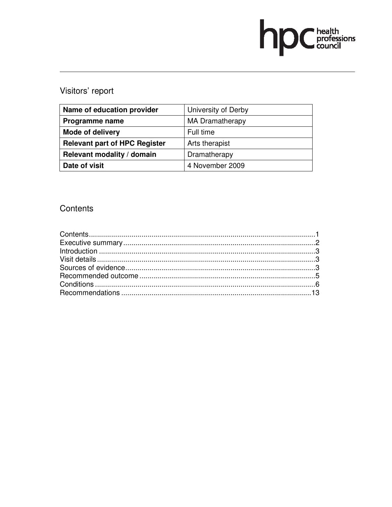# hp Chealth

# Visitors' report

| Name of education provider           | University of Derby    |
|--------------------------------------|------------------------|
| Programme name                       | <b>MA Dramatherapy</b> |
| <b>Mode of delivery</b>              | Full time              |
| <b>Relevant part of HPC Register</b> | Arts therapist         |
| Relevant modality / domain           | Dramatherapy           |
| Date of visit                        | 4 November 2009        |

# Contents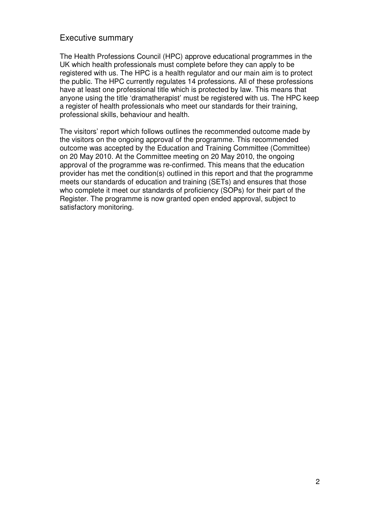# Executive summary

The Health Professions Council (HPC) approve educational programmes in the UK which health professionals must complete before they can apply to be registered with us. The HPC is a health regulator and our main aim is to protect the public. The HPC currently regulates 14 professions. All of these professions have at least one professional title which is protected by law. This means that anyone using the title 'dramatherapist' must be registered with us. The HPC keep a register of health professionals who meet our standards for their training, professional skills, behaviour and health.

The visitors' report which follows outlines the recommended outcome made by the visitors on the ongoing approval of the programme. This recommended outcome was accepted by the Education and Training Committee (Committee) on 20 May 2010. At the Committee meeting on 20 May 2010, the ongoing approval of the programme was re-confirmed. This means that the education provider has met the condition(s) outlined in this report and that the programme meets our standards of education and training (SETs) and ensures that those who complete it meet our standards of proficiency (SOPs) for their part of the Register. The programme is now granted open ended approval, subject to satisfactory monitoring.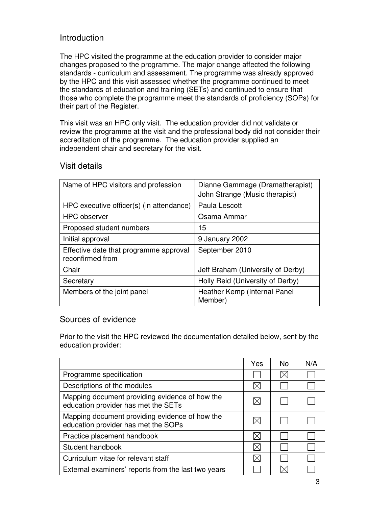# Introduction

The HPC visited the programme at the education provider to consider major changes proposed to the programme. The major change affected the following standards - curriculum and assessment. The programme was already approved by the HPC and this visit assessed whether the programme continued to meet the standards of education and training (SETs) and continued to ensure that those who complete the programme meet the standards of proficiency (SOPs) for their part of the Register.

This visit was an HPC only visit. The education provider did not validate or review the programme at the visit and the professional body did not consider their accreditation of the programme. The education provider supplied an independent chair and secretary for the visit.

| Name of HPC visitors and profession                        | Dianne Gammage (Dramatherapist)<br>John Strange (Music therapist) |
|------------------------------------------------------------|-------------------------------------------------------------------|
| HPC executive officer(s) (in attendance)                   | Paula Lescott                                                     |
| <b>HPC</b> observer                                        | Osama Ammar                                                       |
| Proposed student numbers                                   | 15                                                                |
| Initial approval                                           | 9 January 2002                                                    |
| Effective date that programme approval<br>reconfirmed from | September 2010                                                    |
| Chair                                                      | Jeff Braham (University of Derby)                                 |
| Secretary                                                  | Holly Reid (University of Derby)                                  |
| Members of the joint panel                                 | Heather Kemp (Internal Panel<br>Member)                           |

# Visit details

# Sources of evidence

Prior to the visit the HPC reviewed the documentation detailed below, sent by the education provider:

|                                                                                       | Yes | No. | N/A |
|---------------------------------------------------------------------------------------|-----|-----|-----|
| Programme specification                                                               |     |     |     |
| Descriptions of the modules                                                           |     |     |     |
| Mapping document providing evidence of how the<br>education provider has met the SETs |     |     |     |
| Mapping document providing evidence of how the<br>education provider has met the SOPs |     |     |     |
| Practice placement handbook                                                           |     |     |     |
| Student handbook                                                                      |     |     |     |
| Curriculum vitae for relevant staff                                                   |     |     |     |
| External examiners' reports from the last two years                                   |     |     |     |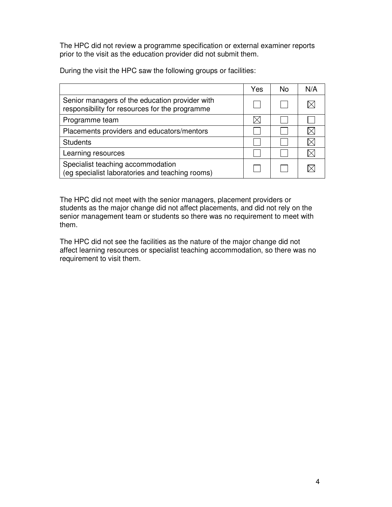The HPC did not review a programme specification or external examiner reports prior to the visit as the education provider did not submit them.

During the visit the HPC saw the following groups or facilities:

|                                                                                                  | Yes | No. | N/A |
|--------------------------------------------------------------------------------------------------|-----|-----|-----|
| Senior managers of the education provider with<br>responsibility for resources for the programme |     |     |     |
| Programme team                                                                                   |     |     |     |
| Placements providers and educators/mentors                                                       |     |     |     |
| <b>Students</b>                                                                                  |     |     |     |
| Learning resources                                                                               |     |     |     |
| Specialist teaching accommodation<br>(eg specialist laboratories and teaching rooms)             |     |     |     |

The HPC did not meet with the senior managers, placement providers or students as the major change did not affect placements, and did not rely on the senior management team or students so there was no requirement to meet with them.

The HPC did not see the facilities as the nature of the major change did not affect learning resources or specialist teaching accommodation, so there was no requirement to visit them.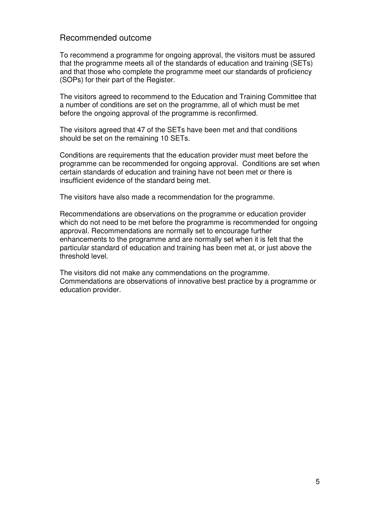## Recommended outcome

To recommend a programme for ongoing approval, the visitors must be assured that the programme meets all of the standards of education and training (SETs) and that those who complete the programme meet our standards of proficiency (SOPs) for their part of the Register.

The visitors agreed to recommend to the Education and Training Committee that a number of conditions are set on the programme, all of which must be met before the ongoing approval of the programme is reconfirmed.

The visitors agreed that 47 of the SETs have been met and that conditions should be set on the remaining 10 SETs.

Conditions are requirements that the education provider must meet before the programme can be recommended for ongoing approval. Conditions are set when certain standards of education and training have not been met or there is insufficient evidence of the standard being met.

The visitors have also made a recommendation for the programme.

Recommendations are observations on the programme or education provider which do not need to be met before the programme is recommended for ongoing approval. Recommendations are normally set to encourage further enhancements to the programme and are normally set when it is felt that the particular standard of education and training has been met at, or just above the threshold level.

The visitors did not make any commendations on the programme. Commendations are observations of innovative best practice by a programme or education provider.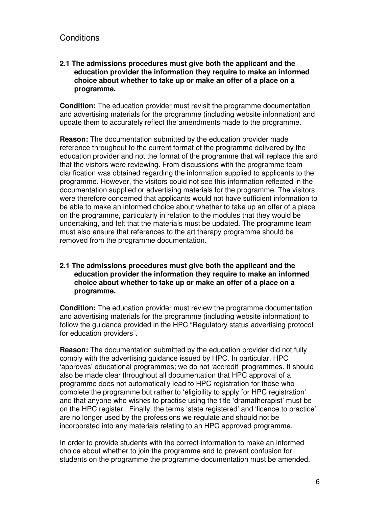# **Conditions**

#### **2.1 The admissions procedures must give both the applicant and the education provider the information they require to make an informed choice about whether to take up or make an offer of a place on a programme.**

**Condition:** The education provider must revisit the programme documentation and advertising materials for the programme (including website information) and update them to accurately reflect the amendments made to the programme.

**Reason:** The documentation submitted by the education provider made reference throughout to the current format of the programme delivered by the education provider and not the format of the programme that will replace this and that the visitors were reviewing. From discussions with the programme team clarification was obtained regarding the information supplied to applicants to the programme. However, the visitors could not see this information reflected in the documentation supplied or advertising materials for the programme. The visitors were therefore concerned that applicants would not have sufficient information to be able to make an informed choice about whether to take up an offer of a place on the programme, particularly in relation to the modules that they would be undertaking, and felt that the materials must be updated. The programme team must also ensure that references to the art therapy programme should be removed from the programme documentation.

#### **2.1 The admissions procedures must give both the applicant and the education provider the information they require to make an informed choice about whether to take up or make an offer of a place on a programme.**

**Condition:** The education provider must review the programme documentation and advertising materials for the programme (including website information) to follow the guidance provided in the HPC "Regulatory status advertising protocol for education providers".

**Reason:** The documentation submitted by the education provider did not fully comply with the advertising guidance issued by HPC. In particular, HPC 'approves' educational programmes; we do not 'accredit' programmes. It should also be made clear throughout all documentation that HPC approval of a programme does not automatically lead to HPC registration for those who complete the programme but rather to 'eligibility to apply for HPC registration' and that anyone who wishes to practise using the title 'dramatherapist' must be on the HPC register. Finally, the terms 'state registered' and 'licence to practice' are no longer used by the professions we regulate and should not be incorporated into any materials relating to an HPC approved programme.

In order to provide students with the correct information to make an informed choice about whether to join the programme and to prevent confusion for students on the programme the programme documentation must be amended.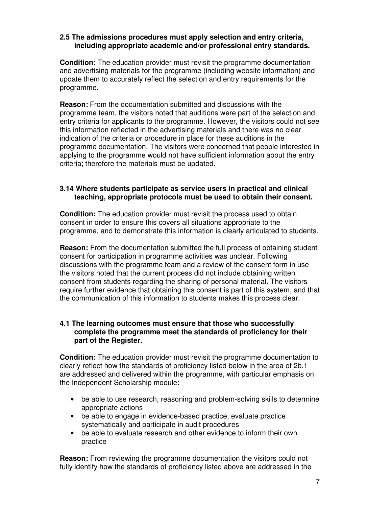#### **2.5 The admissions procedures must apply selection and entry criteria, including appropriate academic and/or professional entry standards.**

**Condition:** The education provider must revisit the programme documentation and advertising materials for the programme (including website information) and update them to accurately reflect the selection and entry requirements for the programme.

**Reason:** From the documentation submitted and discussions with the programme team, the visitors noted that auditions were part of the selection and entry criteria for applicants to the programme. However, the visitors could not see this information reflected in the advertising materials and there was no clear indication of the criteria or procedure in place for these auditions in the programme documentation. The visitors were concerned that people interested in applying to the programme would not have sufficient information about the entry criteria; therefore the materials must be updated.

#### **3.14 Where students participate as service users in practical and clinical teaching, appropriate protocols must be used to obtain their consent.**

**Condition:** The education provider must revisit the process used to obtain consent in order to ensure this covers all situations appropriate to the programme, and to demonstrate this information is clearly articulated to students.

**Reason:** From the documentation submitted the full process of obtaining student consent for participation in programme activities was unclear. Following discussions with the programme team and a review of the consent form in use the visitors noted that the current process did not include obtaining written consent from students regarding the sharing of personal material. The visitors require further evidence that obtaining this consent is part of this system, and that the communication of this information to students makes this process clear.

#### **4.1 The learning outcomes must ensure that those who successfully complete the programme meet the standards of proficiency for their part of the Register.**

**Condition:** The education provider must revisit the programme documentation to clearly reflect how the standards of proficiency listed below in the area of 2b.1 are addressed and delivered within the programme, with particular emphasis on the Independent Scholarship module:

- be able to use research, reasoning and problem-solving skills to determine appropriate actions
- be able to engage in evidence-based practice, evaluate practice systematically and participate in audit procedures
- be able to evaluate research and other evidence to inform their own practice

**Reason:** From reviewing the programme documentation the visitors could not fully identify how the standards of proficiency listed above are addressed in the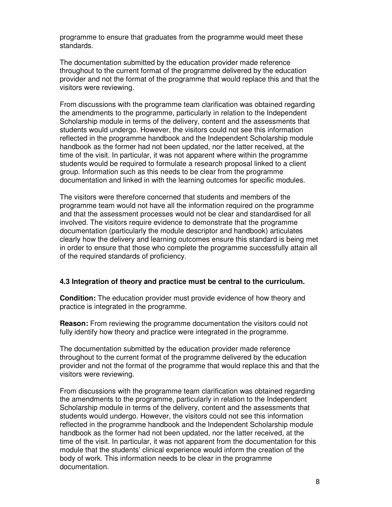programme to ensure that graduates from the programme would meet these standards.

The documentation submitted by the education provider made reference throughout to the current format of the programme delivered by the education provider and not the format of the programme that would replace this and that the visitors were reviewing.

From discussions with the programme team clarification was obtained regarding the amendments to the programme, particularly in relation to the Independent Scholarship module in terms of the delivery, content and the assessments that students would undergo. However, the visitors could not see this information reflected in the programme handbook and the Independent Scholarship module handbook as the former had not been updated, nor the latter received, at the time of the visit. In particular, it was not apparent where within the programme students would be required to formulate a research proposal linked to a client group. Information such as this needs to be clear from the programme documentation and linked in with the learning outcomes for specific modules.

The visitors were therefore concerned that students and members of the programme team would not have all the information required on the programme and that the assessment processes would not be clear and standardised for all involved. The visitors require evidence to demonstrate that the programme documentation (particularly the module descriptor and handbook) articulates clearly how the delivery and learning outcomes ensure this standard is being met in order to ensure that those who complete the programme successfully attain all of the required standards of proficiency.

#### **4.3 Integration of theory and practice must be central to the curriculum.**

**Condition:** The education provider must provide evidence of how theory and practice is integrated in the programme.

**Reason:** From reviewing the programme documentation the visitors could not fully identify how theory and practice were integrated in the programme.

The documentation submitted by the education provider made reference throughout to the current format of the programme delivered by the education provider and not the format of the programme that would replace this and that the visitors were reviewing.

From discussions with the programme team clarification was obtained regarding the amendments to the programme, particularly in relation to the Independent Scholarship module in terms of the delivery, content and the assessments that students would undergo. However, the visitors could not see this information reflected in the programme handbook and the Independent Scholarship module handbook as the former had not been updated, nor the latter received, at the time of the visit. In particular, it was not apparent from the documentation for this module that the students' clinical experience would inform the creation of the body of work. This information needs to be clear in the programme documentation.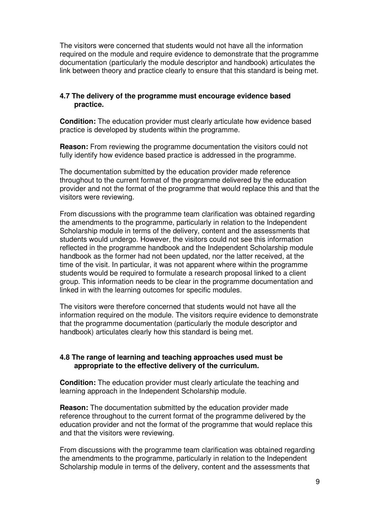The visitors were concerned that students would not have all the information required on the module and require evidence to demonstrate that the programme documentation (particularly the module descriptor and handbook) articulates the link between theory and practice clearly to ensure that this standard is being met.

#### **4.7 The delivery of the programme must encourage evidence based practice.**

**Condition:** The education provider must clearly articulate how evidence based practice is developed by students within the programme.

**Reason:** From reviewing the programme documentation the visitors could not fully identify how evidence based practice is addressed in the programme.

The documentation submitted by the education provider made reference throughout to the current format of the programme delivered by the education provider and not the format of the programme that would replace this and that the visitors were reviewing.

From discussions with the programme team clarification was obtained regarding the amendments to the programme, particularly in relation to the Independent Scholarship module in terms of the delivery, content and the assessments that students would undergo. However, the visitors could not see this information reflected in the programme handbook and the Independent Scholarship module handbook as the former had not been updated, nor the latter received, at the time of the visit. In particular, it was not apparent where within the programme students would be required to formulate a research proposal linked to a client group. This information needs to be clear in the programme documentation and linked in with the learning outcomes for specific modules.

The visitors were therefore concerned that students would not have all the information required on the module. The visitors require evidence to demonstrate that the programme documentation (particularly the module descriptor and handbook) articulates clearly how this standard is being met.

#### **4.8 The range of learning and teaching approaches used must be appropriate to the effective delivery of the curriculum.**

**Condition:** The education provider must clearly articulate the teaching and learning approach in the Independent Scholarship module.

**Reason:** The documentation submitted by the education provider made reference throughout to the current format of the programme delivered by the education provider and not the format of the programme that would replace this and that the visitors were reviewing.

From discussions with the programme team clarification was obtained regarding the amendments to the programme, particularly in relation to the Independent Scholarship module in terms of the delivery, content and the assessments that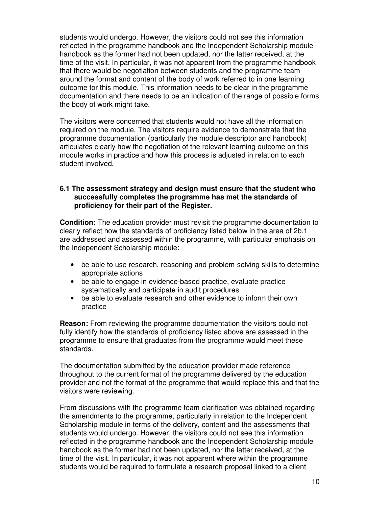students would undergo. However, the visitors could not see this information reflected in the programme handbook and the Independent Scholarship module handbook as the former had not been updated, nor the latter received, at the time of the visit. In particular, it was not apparent from the programme handbook that there would be negotiation between students and the programme team around the format and content of the body of work referred to in one learning outcome for this module. This information needs to be clear in the programme documentation and there needs to be an indication of the range of possible forms the body of work might take.

The visitors were concerned that students would not have all the information required on the module. The visitors require evidence to demonstrate that the programme documentation (particularly the module descriptor and handbook) articulates clearly how the negotiation of the relevant learning outcome on this module works in practice and how this process is adjusted in relation to each student involved.

#### **6.1 The assessment strategy and design must ensure that the student who successfully completes the programme has met the standards of proficiency for their part of the Register.**

**Condition:** The education provider must revisit the programme documentation to clearly reflect how the standards of proficiency listed below in the area of 2b.1 are addressed and assessed within the programme, with particular emphasis on the Independent Scholarship module:

- be able to use research, reasoning and problem-solving skills to determine appropriate actions
- be able to engage in evidence-based practice, evaluate practice systematically and participate in audit procedures
- be able to evaluate research and other evidence to inform their own practice

**Reason:** From reviewing the programme documentation the visitors could not fully identify how the standards of proficiency listed above are assessed in the programme to ensure that graduates from the programme would meet these standards.

The documentation submitted by the education provider made reference throughout to the current format of the programme delivered by the education provider and not the format of the programme that would replace this and that the visitors were reviewing.

From discussions with the programme team clarification was obtained regarding the amendments to the programme, particularly in relation to the Independent Scholarship module in terms of the delivery, content and the assessments that students would undergo. However, the visitors could not see this information reflected in the programme handbook and the Independent Scholarship module handbook as the former had not been updated, nor the latter received, at the time of the visit. In particular, it was not apparent where within the programme students would be required to formulate a research proposal linked to a client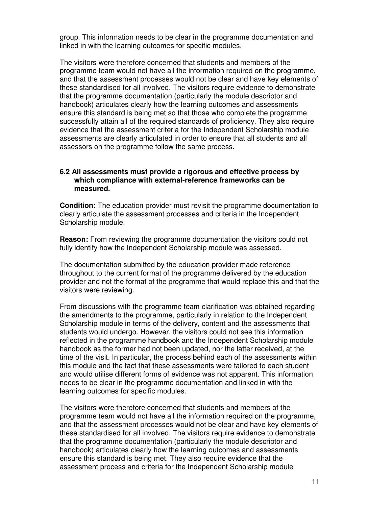group. This information needs to be clear in the programme documentation and linked in with the learning outcomes for specific modules.

The visitors were therefore concerned that students and members of the programme team would not have all the information required on the programme, and that the assessment processes would not be clear and have key elements of these standardised for all involved. The visitors require evidence to demonstrate that the programme documentation (particularly the module descriptor and handbook) articulates clearly how the learning outcomes and assessments ensure this standard is being met so that those who complete the programme successfully attain all of the required standards of proficiency. They also require evidence that the assessment criteria for the Independent Scholarship module assessments are clearly articulated in order to ensure that all students and all assessors on the programme follow the same process.

#### **6.2 All assessments must provide a rigorous and effective process by which compliance with external-reference frameworks can be measured.**

**Condition:** The education provider must revisit the programme documentation to clearly articulate the assessment processes and criteria in the Independent Scholarship module.

**Reason:** From reviewing the programme documentation the visitors could not fully identify how the Independent Scholarship module was assessed.

The documentation submitted by the education provider made reference throughout to the current format of the programme delivered by the education provider and not the format of the programme that would replace this and that the visitors were reviewing.

From discussions with the programme team clarification was obtained regarding the amendments to the programme, particularly in relation to the Independent Scholarship module in terms of the delivery, content and the assessments that students would undergo. However, the visitors could not see this information reflected in the programme handbook and the Independent Scholarship module handbook as the former had not been updated, nor the latter received, at the time of the visit. In particular, the process behind each of the assessments within this module and the fact that these assessments were tailored to each student and would utilise different forms of evidence was not apparent. This information needs to be clear in the programme documentation and linked in with the learning outcomes for specific modules.

The visitors were therefore concerned that students and members of the programme team would not have all the information required on the programme, and that the assessment processes would not be clear and have key elements of these standardised for all involved. The visitors require evidence to demonstrate that the programme documentation (particularly the module descriptor and handbook) articulates clearly how the learning outcomes and assessments ensure this standard is being met. They also require evidence that the assessment process and criteria for the Independent Scholarship module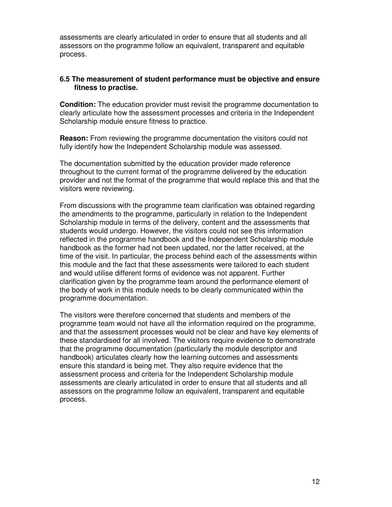assessments are clearly articulated in order to ensure that all students and all assessors on the programme follow an equivalent, transparent and equitable process.

#### **6.5 The measurement of student performance must be objective and ensure fitness to practise.**

**Condition:** The education provider must revisit the programme documentation to clearly articulate how the assessment processes and criteria in the Independent Scholarship module ensure fitness to practice.

**Reason:** From reviewing the programme documentation the visitors could not fully identify how the Independent Scholarship module was assessed.

The documentation submitted by the education provider made reference throughout to the current format of the programme delivered by the education provider and not the format of the programme that would replace this and that the visitors were reviewing.

From discussions with the programme team clarification was obtained regarding the amendments to the programme, particularly in relation to the Independent Scholarship module in terms of the delivery, content and the assessments that students would undergo. However, the visitors could not see this information reflected in the programme handbook and the Independent Scholarship module handbook as the former had not been updated, nor the latter received, at the time of the visit. In particular, the process behind each of the assessments within this module and the fact that these assessments were tailored to each student and would utilise different forms of evidence was not apparent. Further clarification given by the programme team around the performance element of the body of work in this module needs to be clearly communicated within the programme documentation.

The visitors were therefore concerned that students and members of the programme team would not have all the information required on the programme, and that the assessment processes would not be clear and have key elements of these standardised for all involved. The visitors require evidence to demonstrate that the programme documentation (particularly the module descriptor and handbook) articulates clearly how the learning outcomes and assessments ensure this standard is being met. They also require evidence that the assessment process and criteria for the Independent Scholarship module assessments are clearly articulated in order to ensure that all students and all assessors on the programme follow an equivalent, transparent and equitable process.